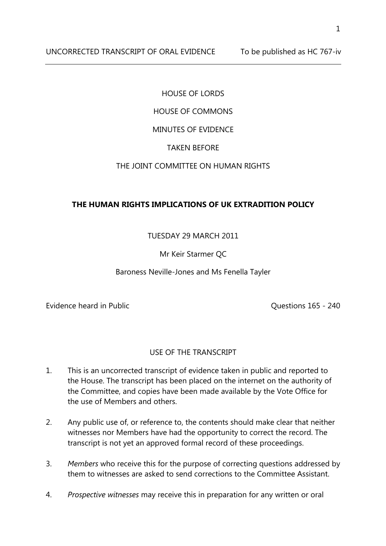UNCORRECTED TRANSCRIPT OF ORAL EVIDENCE To be published as HC 767-iv

#### HOUSE OF LORDS

# HOUSE OF COMMONS

# MINUTES OF EVIDENCE

# TAKEN BEFORE

# THE JOINT COMMITTEE ON HUMAN RIGHTS

# **THE HUMAN RIGHTS IMPLICATIONS OF UK EXTRADITION POLICY**

# TUESDAY 29 MARCH 2011

# Mr Keir Starmer QC

#### Baroness Neville-Jones and Ms Fenella Tayler

Evidence heard in Public **Evidence heard in Public COLLEGAN CONS Questions 165 - 240** 

#### USE OF THE TRANSCRIPT

- 1. This is an uncorrected transcript of evidence taken in public and reported to the House. The transcript has been placed on the internet on the authority of the Committee, and copies have been made available by the Vote Office for the use of Members and others.
- 2. Any public use of, or reference to, the contents should make clear that neither witnesses nor Members have had the opportunity to correct the record. The transcript is not yet an approved formal record of these proceedings.
- 3. *Members* who receive this for the purpose of correcting questions addressed by them to witnesses are asked to send corrections to the Committee Assistant.
- 4. *Prospective witnesses* may receive this in preparation for any written or oral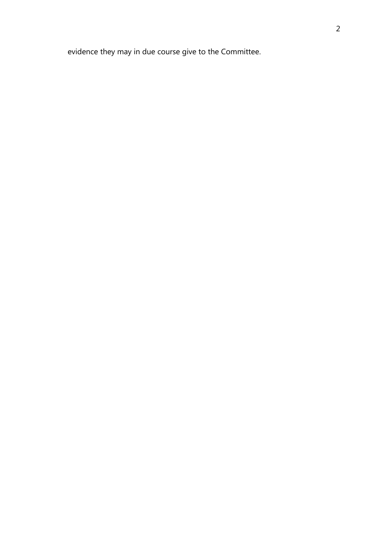evidence they may in due course give to the Committee.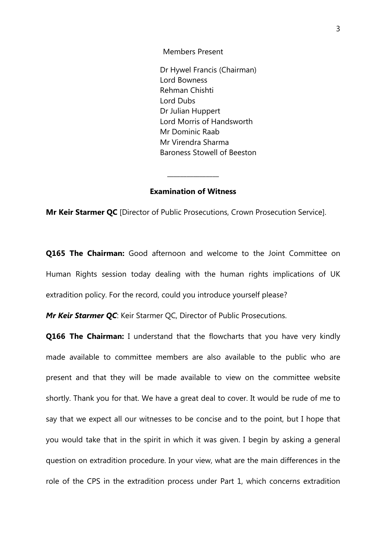Members Present

Dr Hywel Francis (Chairman) Lord Bowness Rehman Chishti Lord Dubs Dr Julian Huppert Lord Morris of Handsworth Mr Dominic Raab Mr Virendra Sharma Baroness Stowell of Beeston

#### **Examination of Witness**

\_\_\_\_\_\_\_\_\_\_\_\_\_\_\_\_

**Mr Keir Starmer QC** [Director of Public Prosecutions, Crown Prosecution Service].

**Q165 The Chairman:** Good afternoon and welcome to the Joint Committee on Human Rights session today dealing with the human rights implications of UK extradition policy. For the record, could you introduce yourself please?

*Mr Keir Starmer QC*: Keir Starmer QC, Director of Public Prosecutions.

**Q166 The Chairman:** I understand that the flowcharts that you have very kindly made available to committee members are also available to the public who are present and that they will be made available to view on the committee website shortly. Thank you for that. We have a great deal to cover. It would be rude of me to say that we expect all our witnesses to be concise and to the point, but I hope that you would take that in the spirit in which it was given. I begin by asking a general question on extradition procedure. In your view, what are the main differences in the role of the CPS in the extradition process under Part 1, which concerns extradition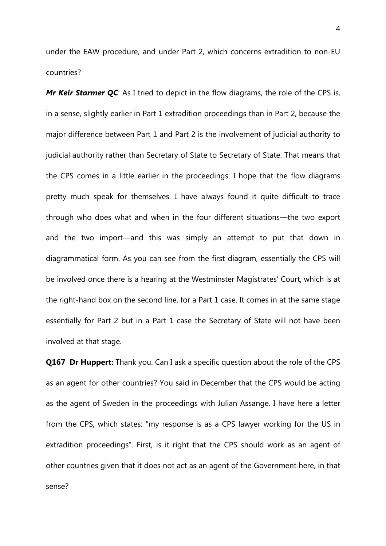under the EAW procedure, and under Part 2, which concerns extradition to non-EU countries?

*Mr Keir Starmer QC*: As I tried to depict in the flow diagrams, the role of the CPS is, in a sense, slightly earlier in Part 1 extradition proceedings than in Part 2, because the major difference between Part 1 and Part 2 is the involvement of judicial authority to judicial authority rather than Secretary of State to Secretary of State. That means that the CPS comes in a little earlier in the proceedings. I hope that the flow diagrams pretty much speak for themselves. I have always found it quite difficult to trace through who does what and when in the four different situations—the two export and the two import—and this was simply an attempt to put that down in diagrammatical form. As you can see from the first diagram, essentially the CPS will be involved once there is a hearing at the Westminster Magistrates' Court, which is at the right-hand box on the second line, for a Part 1 case. It comes in at the same stage essentially for Part 2 but in a Part 1 case the Secretary of State will not have been involved at that stage.

**Q167 Dr Huppert:** Thank you. Can I ask a specific question about the role of the CPS as an agent for other countries? You said in December that the CPS would be acting as the agent of Sweden in the proceedings with Julian Assange. I have here a letter from the CPS, which states: "my response is as a CPS lawyer working for the US in extradition proceedings". First, is it right that the CPS should work as an agent of other countries given that it does not act as an agent of the Government here, in that sense?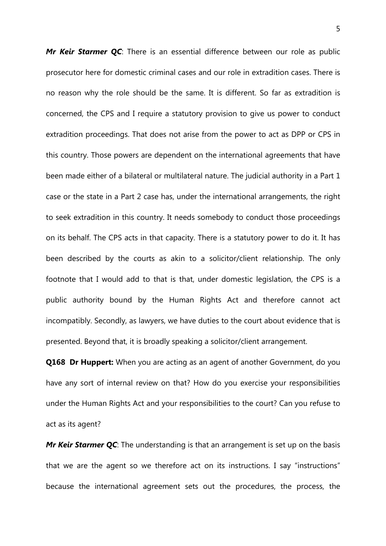*Mr Keir Starmer QC*: There is an essential difference between our role as public prosecutor here for domestic criminal cases and our role in extradition cases. There is no reason why the role should be the same. It is different. So far as extradition is concerned, the CPS and I require a statutory provision to give us power to conduct extradition proceedings. That does not arise from the power to act as DPP or CPS in this country. Those powers are dependent on the international agreements that have been made either of a bilateral or multilateral nature. The judicial authority in a Part 1 case or the state in a Part 2 case has, under the international arrangements, the right to seek extradition in this country. It needs somebody to conduct those proceedings on its behalf. The CPS acts in that capacity. There is a statutory power to do it. It has been described by the courts as akin to a solicitor/client relationship. The only footnote that I would add to that is that, under domestic legislation, the CPS is a public authority bound by the Human Rights Act and therefore cannot act incompatibly. Secondly, as lawyers, we have duties to the court about evidence that is presented. Beyond that, it is broadly speaking a solicitor/client arrangement.

**Q168 Dr Huppert:** When you are acting as an agent of another Government, do you have any sort of internal review on that? How do you exercise your responsibilities under the Human Rights Act and your responsibilities to the court? Can you refuse to act as its agent?

*Mr Keir Starmer QC*: The understanding is that an arrangement is set up on the basis that we are the agent so we therefore act on its instructions. I say "instructions" because the international agreement sets out the procedures, the process, the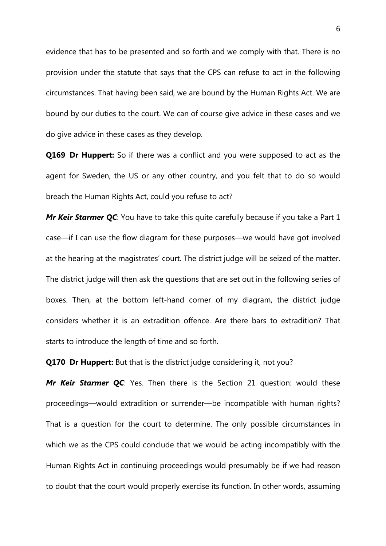evidence that has to be presented and so forth and we comply with that. There is no provision under the statute that says that the CPS can refuse to act in the following circumstances. That having been said, we are bound by the Human Rights Act. We are bound by our duties to the court. We can of course give advice in these cases and we do give advice in these cases as they develop.

**Q169 Dr Huppert:** So if there was a conflict and you were supposed to act as the agent for Sweden, the US or any other country, and you felt that to do so would breach the Human Rights Act, could you refuse to act?

*Mr Keir Starmer QC*: You have to take this quite carefully because if you take a Part 1 case—if I can use the flow diagram for these purposes—we would have got involved at the hearing at the magistrates' court. The district judge will be seized of the matter. The district judge will then ask the questions that are set out in the following series of boxes. Then, at the bottom left-hand corner of my diagram, the district judge considers whether it is an extradition offence. Are there bars to extradition? That starts to introduce the length of time and so forth.

**Q170 Dr Huppert:** But that is the district judge considering it, not you?

*Mr Keir Starmer QC*: Yes. Then there is the Section 21 question: would these proceedings—would extradition or surrender—be incompatible with human rights? That is a question for the court to determine. The only possible circumstances in which we as the CPS could conclude that we would be acting incompatibly with the Human Rights Act in continuing proceedings would presumably be if we had reason to doubt that the court would properly exercise its function. In other words, assuming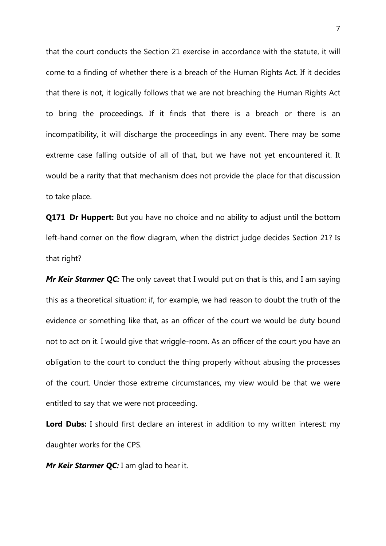that the court conducts the Section 21 exercise in accordance with the statute, it will come to a finding of whether there is a breach of the Human Rights Act. If it decides that there is not, it logically follows that we are not breaching the Human Rights Act to bring the proceedings. If it finds that there is a breach or there is an incompatibility, it will discharge the proceedings in any event. There may be some extreme case falling outside of all of that, but we have not yet encountered it. It would be a rarity that that mechanism does not provide the place for that discussion to take place.

**Q171 Dr Huppert:** But you have no choice and no ability to adjust until the bottom left-hand corner on the flow diagram, when the district judge decides Section 21? Is that right?

*Mr Keir Starmer QC:* The only caveat that I would put on that is this, and I am saying this as a theoretical situation: if, for example, we had reason to doubt the truth of the evidence or something like that, as an officer of the court we would be duty bound not to act on it. I would give that wriggle-room. As an officer of the court you have an obligation to the court to conduct the thing properly without abusing the processes of the court. Under those extreme circumstances, my view would be that we were entitled to say that we were not proceeding.

**Lord Dubs:** I should first declare an interest in addition to my written interest: my daughter works for the CPS.

*Mr Keir Starmer QC: I am glad to hear it.*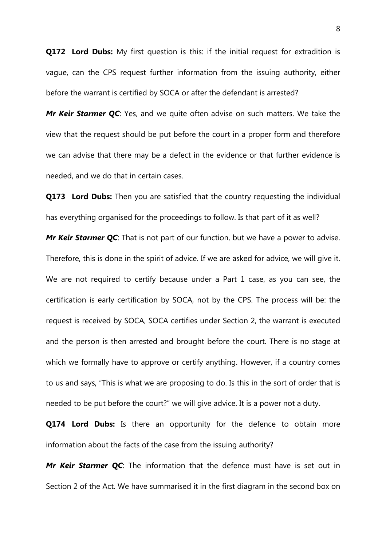**Q172 Lord Dubs:** My first question is this: if the initial request for extradition is vague, can the CPS request further information from the issuing authority, either before the warrant is certified by SOCA or after the defendant is arrested?

*Mr Keir Starmer QC*: Yes, and we quite often advise on such matters. We take the view that the request should be put before the court in a proper form and therefore we can advise that there may be a defect in the evidence or that further evidence is needed, and we do that in certain cases.

**Q173 Lord Dubs:** Then you are satisfied that the country requesting the individual has everything organised for the proceedings to follow. Is that part of it as well? *Mr Keir Starmer QC*: That is not part of our function, but we have a power to advise. Therefore, this is done in the spirit of advice. If we are asked for advice, we will give it. We are not required to certify because under a Part 1 case, as you can see, the certification is early certification by SOCA, not by the CPS. The process will be: the request is received by SOCA, SOCA certifies under Section 2, the warrant is executed and the person is then arrested and brought before the court. There is no stage at which we formally have to approve or certify anything. However, if a country comes to us and says, "This is what we are proposing to do. Is this in the sort of order that is needed to be put before the court?" we will give advice. It is a power not a duty.

**Q174 Lord Dubs:** Is there an opportunity for the defence to obtain more information about the facts of the case from the issuing authority?

*Mr Keir Starmer QC*: The information that the defence must have is set out in Section 2 of the Act. We have summarised it in the first diagram in the second box on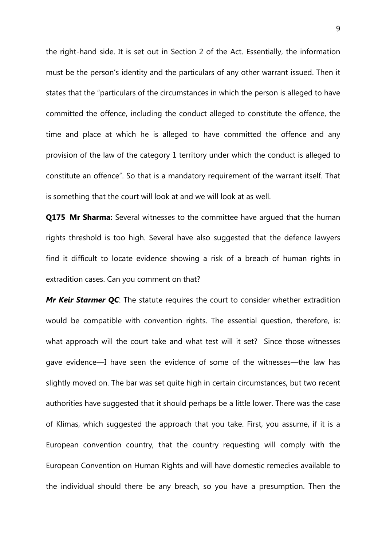the right-hand side. It is set out in Section 2 of the Act. Essentially, the information must be the person's identity and the particulars of any other warrant issued. Then it states that the "particulars of the circumstances in which the person is alleged to have committed the offence, including the conduct alleged to constitute the offence, the time and place at which he is alleged to have committed the offence and any provision of the law of the category 1 territory under which the conduct is alleged to constitute an offence". So that is a mandatory requirement of the warrant itself. That is something that the court will look at and we will look at as well.

**Q175 Mr Sharma:** Several witnesses to the committee have argued that the human rights threshold is too high. Several have also suggested that the defence lawyers find it difficult to locate evidence showing a risk of a breach of human rights in extradition cases. Can you comment on that?

*Mr Keir Starmer QC*: The statute requires the court to consider whether extradition would be compatible with convention rights. The essential question, therefore, is: what approach will the court take and what test will it set? Since those witnesses gave evidence—I have seen the evidence of some of the witnesses—the law has slightly moved on. The bar was set quite high in certain circumstances, but two recent authorities have suggested that it should perhaps be a little lower. There was the case of Klimas, which suggested the approach that you take. First, you assume, if it is a European convention country, that the country requesting will comply with the European Convention on Human Rights and will have domestic remedies available to the individual should there be any breach, so you have a presumption. Then the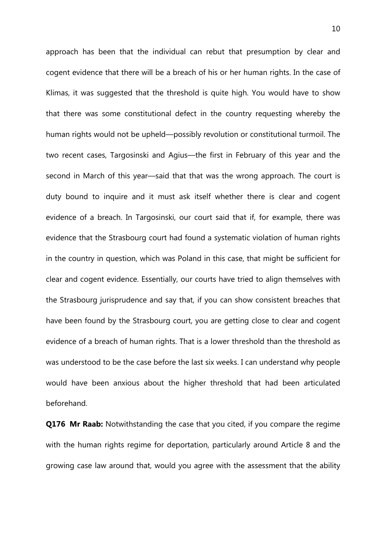approach has been that the individual can rebut that presumption by clear and cogent evidence that there will be a breach of his or her human rights. In the case of Klimas, it was suggested that the threshold is quite high. You would have to show that there was some constitutional defect in the country requesting whereby the human rights would not be upheld—possibly revolution or constitutional turmoil. The two recent cases, Targosinski and Agius—the first in February of this year and the second in March of this year—said that that was the wrong approach. The court is duty bound to inquire and it must ask itself whether there is clear and cogent evidence of a breach. In Targosinski, our court said that if, for example, there was evidence that the Strasbourg court had found a systematic violation of human rights in the country in question, which was Poland in this case, that might be sufficient for clear and cogent evidence. Essentially, our courts have tried to align themselves with the Strasbourg jurisprudence and say that, if you can show consistent breaches that have been found by the Strasbourg court, you are getting close to clear and cogent evidence of a breach of human rights. That is a lower threshold than the threshold as was understood to be the case before the last six weeks. I can understand why people would have been anxious about the higher threshold that had been articulated beforehand.

**Q176 Mr Raab:** Notwithstanding the case that you cited, if you compare the regime with the human rights regime for deportation, particularly around Article 8 and the growing case law around that, would you agree with the assessment that the ability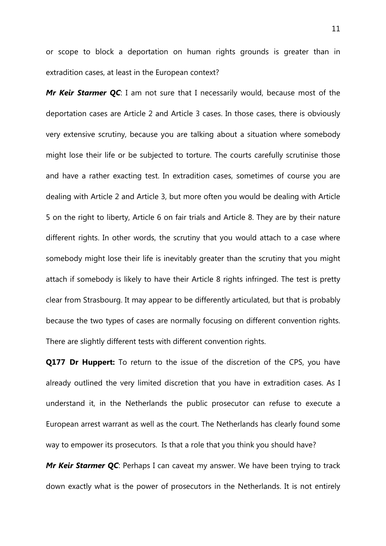or scope to block a deportation on human rights grounds is greater than in extradition cases, at least in the European context?

*Mr Keir Starmer QC*: I am not sure that I necessarily would, because most of the deportation cases are Article 2 and Article 3 cases. In those cases, there is obviously very extensive scrutiny, because you are talking about a situation where somebody might lose their life or be subjected to torture. The courts carefully scrutinise those and have a rather exacting test. In extradition cases, sometimes of course you are dealing with Article 2 and Article 3, but more often you would be dealing with Article 5 on the right to liberty, Article 6 on fair trials and Article 8. They are by their nature different rights. In other words, the scrutiny that you would attach to a case where somebody might lose their life is inevitably greater than the scrutiny that you might attach if somebody is likely to have their Article 8 rights infringed. The test is pretty clear from Strasbourg. It may appear to be differently articulated, but that is probably because the two types of cases are normally focusing on different convention rights. There are slightly different tests with different convention rights.

**Q177 Dr Huppert:** To return to the issue of the discretion of the CPS, you have already outlined the very limited discretion that you have in extradition cases. As I understand it, in the Netherlands the public prosecutor can refuse to execute a European arrest warrant as well as the court. The Netherlands has clearly found some way to empower its prosecutors. Is that a role that you think you should have?

*Mr Keir Starmer QC*: Perhaps I can caveat my answer. We have been trying to track down exactly what is the power of prosecutors in the Netherlands. It is not entirely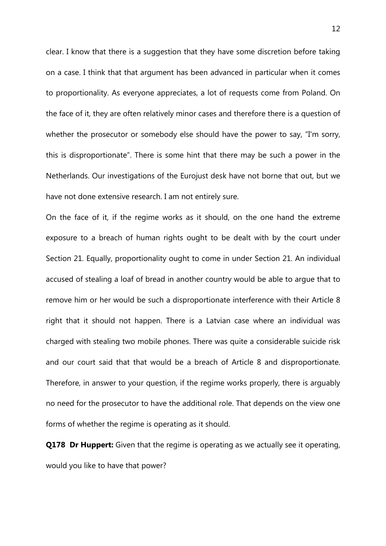clear. I know that there is a suggestion that they have some discretion before taking on a case. I think that that argument has been advanced in particular when it comes to proportionality. As everyone appreciates, a lot of requests come from Poland. On the face of it, they are often relatively minor cases and therefore there is a question of whether the prosecutor or somebody else should have the power to say, "I'm sorry, this is disproportionate". There is some hint that there may be such a power in the Netherlands. Our investigations of the Eurojust desk have not borne that out, but we have not done extensive research. I am not entirely sure.

On the face of it, if the regime works as it should, on the one hand the extreme exposure to a breach of human rights ought to be dealt with by the court under Section 21. Equally, proportionality ought to come in under Section 21. An individual accused of stealing a loaf of bread in another country would be able to argue that to remove him or her would be such a disproportionate interference with their Article 8 right that it should not happen. There is a Latvian case where an individual was charged with stealing two mobile phones. There was quite a considerable suicide risk and our court said that that would be a breach of Article 8 and disproportionate. Therefore, in answer to your question, if the regime works properly, there is arguably no need for the prosecutor to have the additional role. That depends on the view one forms of whether the regime is operating as it should.

**Q178 Dr Huppert:** Given that the regime is operating as we actually see it operating, would you like to have that power?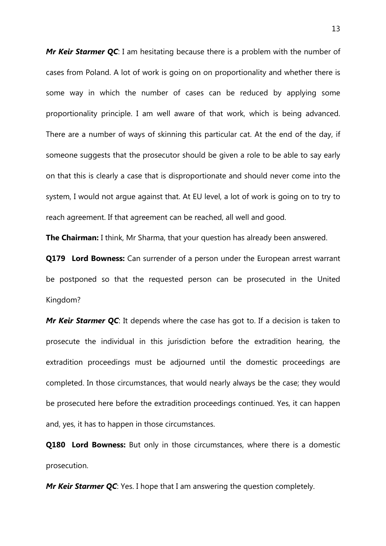**Mr Keir Starmer QC**: I am hesitating because there is a problem with the number of cases from Poland. A lot of work is going on on proportionality and whether there is some way in which the number of cases can be reduced by applying some proportionality principle. I am well aware of that work, which is being advanced. There are a number of ways of skinning this particular cat. At the end of the day, if someone suggests that the prosecutor should be given a role to be able to say early on that this is clearly a case that is disproportionate and should never come into the system, I would not argue against that. At EU level, a lot of work is going on to try to reach agreement. If that agreement can be reached, all well and good.

**The Chairman:** I think, Mr Sharma, that your question has already been answered.

**Q179 Lord Bowness:** Can surrender of a person under the European arrest warrant be postponed so that the requested person can be prosecuted in the United Kingdom?

*Mr Keir Starmer QC*: It depends where the case has got to. If a decision is taken to prosecute the individual in this jurisdiction before the extradition hearing, the extradition proceedings must be adjourned until the domestic proceedings are completed. In those circumstances, that would nearly always be the case; they would be prosecuted here before the extradition proceedings continued. Yes, it can happen and, yes, it has to happen in those circumstances.

**Q180 Lord Bowness:** But only in those circumstances, where there is a domestic prosecution.

*Mr Keir Starmer QC*: Yes. I hope that I am answering the question completely.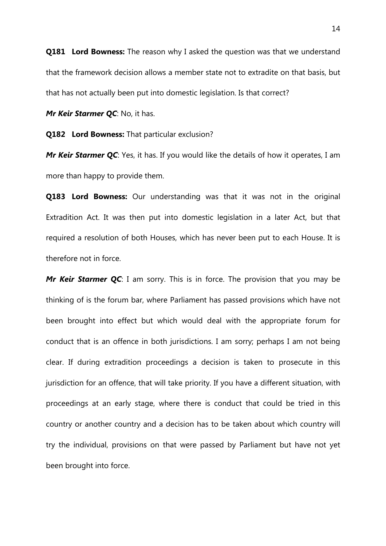**Q181 Lord Bowness:** The reason why I asked the question was that we understand that the framework decision allows a member state not to extradite on that basis, but that has not actually been put into domestic legislation. Is that correct?

*Mr Keir Starmer QC*: No, it has.

**Q182 Lord Bowness:** That particular exclusion?

**Mr Keir Starmer QC**: Yes, it has. If you would like the details of how it operates, I am more than happy to provide them.

**Q183 Lord Bowness:** Our understanding was that it was not in the original Extradition Act. It was then put into domestic legislation in a later Act, but that required a resolution of both Houses, which has never been put to each House. It is therefore not in force.

*Mr Keir Starmer QC*: I am sorry. This is in force. The provision that you may be thinking of is the forum bar, where Parliament has passed provisions which have not been brought into effect but which would deal with the appropriate forum for conduct that is an offence in both jurisdictions. I am sorry; perhaps I am not being clear. If during extradition proceedings a decision is taken to prosecute in this jurisdiction for an offence, that will take priority. If you have a different situation, with proceedings at an early stage, where there is conduct that could be tried in this country or another country and a decision has to be taken about which country will try the individual, provisions on that were passed by Parliament but have not yet been brought into force.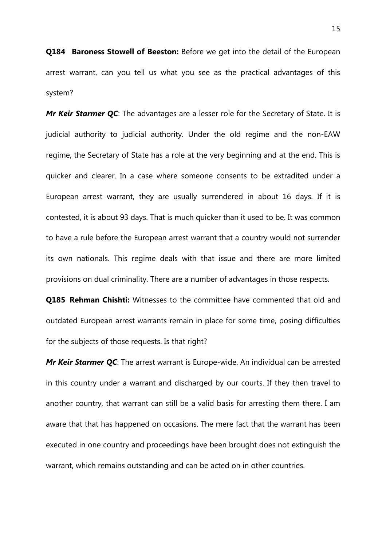**Q184 Baroness Stowell of Beeston:** Before we get into the detail of the European arrest warrant, can you tell us what you see as the practical advantages of this system?

*Mr Keir Starmer QC*: The advantages are a lesser role for the Secretary of State. It is judicial authority to judicial authority. Under the old regime and the non-EAW regime, the Secretary of State has a role at the very beginning and at the end. This is quicker and clearer. In a case where someone consents to be extradited under a European arrest warrant, they are usually surrendered in about 16 days. If it is contested, it is about 93 days. That is much quicker than it used to be. It was common to have a rule before the European arrest warrant that a country would not surrender its own nationals. This regime deals with that issue and there are more limited provisions on dual criminality. There are a number of advantages in those respects.

**Q185 Rehman Chishti:** Witnesses to the committee have commented that old and outdated European arrest warrants remain in place for some time, posing difficulties for the subjects of those requests. Is that right?

**Mr Keir Starmer QC**: The arrest warrant is Europe-wide. An individual can be arrested in this country under a warrant and discharged by our courts. If they then travel to another country, that warrant can still be a valid basis for arresting them there. I am aware that that has happened on occasions. The mere fact that the warrant has been executed in one country and proceedings have been brought does not extinguish the warrant, which remains outstanding and can be acted on in other countries.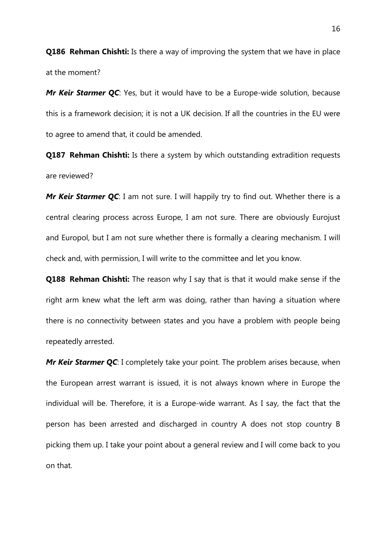**Q186 Rehman Chishti:** Is there a way of improving the system that we have in place at the moment?

*Mr Keir Starmer QC*: Yes, but it would have to be a Europe-wide solution, because this is a framework decision; it is not a UK decision. If all the countries in the EU were to agree to amend that, it could be amended.

**Q187 Rehman Chishti:** Is there a system by which outstanding extradition requests are reviewed?

*Mr Keir Starmer QC*: I am not sure. I will happily try to find out. Whether there is a central clearing process across Europe, I am not sure. There are obviously Eurojust and Europol, but I am not sure whether there is formally a clearing mechanism. I will check and, with permission, I will write to the committee and let you know.

**Q188 Rehman Chishti:** The reason why I say that is that it would make sense if the right arm knew what the left arm was doing, rather than having a situation where there is no connectivity between states and you have a problem with people being repeatedly arrested.

*Mr Keir Starmer QC*: I completely take your point. The problem arises because, when the European arrest warrant is issued, it is not always known where in Europe the individual will be. Therefore, it is a Europe-wide warrant. As I say, the fact that the person has been arrested and discharged in country A does not stop country B picking them up. I take your point about a general review and I will come back to you on that.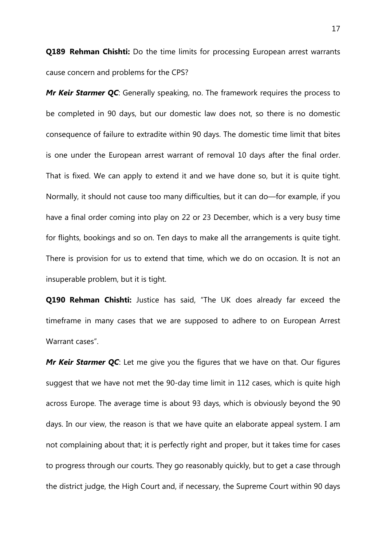**Q189 Rehman Chishti:** Do the time limits for processing European arrest warrants cause concern and problems for the CPS?

*Mr Keir Starmer QC*: Generally speaking, no. The framework requires the process to be completed in 90 days, but our domestic law does not, so there is no domestic consequence of failure to extradite within 90 days. The domestic time limit that bites is one under the European arrest warrant of removal 10 days after the final order. That is fixed. We can apply to extend it and we have done so, but it is quite tight. Normally, it should not cause too many difficulties, but it can do—for example, if you have a final order coming into play on 22 or 23 December, which is a very busy time for flights, bookings and so on. Ten days to make all the arrangements is quite tight. There is provision for us to extend that time, which we do on occasion. It is not an insuperable problem, but it is tight.

**Q190 Rehman Chishti:** Justice has said, "The UK does already far exceed the timeframe in many cases that we are supposed to adhere to on European Arrest Warrant cases".

*Mr Keir Starmer QC*: Let me give you the figures that we have on that. Our figures suggest that we have not met the 90-day time limit in 112 cases, which is quite high across Europe. The average time is about 93 days, which is obviously beyond the 90 days. In our view, the reason is that we have quite an elaborate appeal system. I am not complaining about that; it is perfectly right and proper, but it takes time for cases to progress through our courts. They go reasonably quickly, but to get a case through the district judge, the High Court and, if necessary, the Supreme Court within 90 days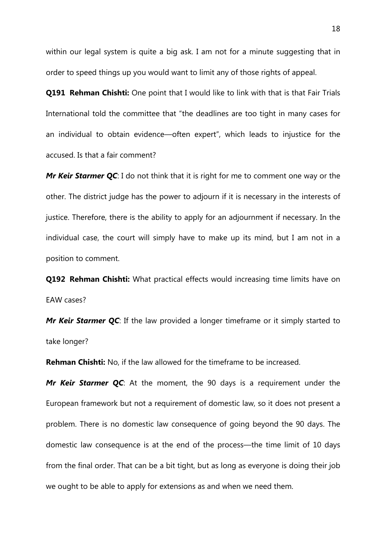within our legal system is quite a big ask. I am not for a minute suggesting that in order to speed things up you would want to limit any of those rights of appeal.

**Q191 Rehman Chishti:** One point that I would like to link with that is that Fair Trials International told the committee that "the deadlines are too tight in many cases for an individual to obtain evidence—often expert", which leads to injustice for the accused. Is that a fair comment?

*Mr Keir Starmer QC*: I do not think that it is right for me to comment one way or the other. The district judge has the power to adjourn if it is necessary in the interests of justice. Therefore, there is the ability to apply for an adjournment if necessary. In the individual case, the court will simply have to make up its mind, but I am not in a position to comment.

**Q192 Rehman Chishti:** What practical effects would increasing time limits have on EAW cases?

*Mr Keir Starmer QC*: If the law provided a longer timeframe or it simply started to take longer?

**Rehman Chishti:** No, if the law allowed for the timeframe to be increased.

*Mr Keir Starmer QC*: At the moment, the 90 days is a requirement under the European framework but not a requirement of domestic law, so it does not present a problem. There is no domestic law consequence of going beyond the 90 days. The domestic law consequence is at the end of the process—the time limit of 10 days from the final order. That can be a bit tight, but as long as everyone is doing their job we ought to be able to apply for extensions as and when we need them.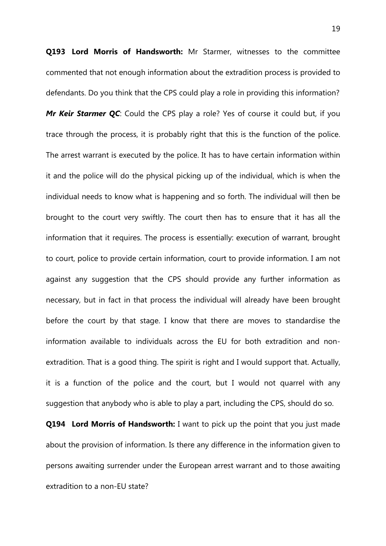**Q193 Lord Morris of Handsworth:** Mr Starmer, witnesses to the committee commented that not enough information about the extradition process is provided to defendants. Do you think that the CPS could play a role in providing this information? *Mr Keir Starmer QC*: Could the CPS play a role? Yes of course it could but, if you trace through the process, it is probably right that this is the function of the police. The arrest warrant is executed by the police. It has to have certain information within it and the police will do the physical picking up of the individual, which is when the individual needs to know what is happening and so forth. The individual will then be brought to the court very swiftly. The court then has to ensure that it has all the information that it requires. The process is essentially: execution of warrant, brought to court, police to provide certain information, court to provide information. I am not against any suggestion that the CPS should provide any further information as necessary, but in fact in that process the individual will already have been brought before the court by that stage. I know that there are moves to standardise the information available to individuals across the EU for both extradition and nonextradition. That is a good thing. The spirit is right and I would support that. Actually, it is a function of the police and the court, but I would not quarrel with any suggestion that anybody who is able to play a part, including the CPS, should do so.

**Q194 Lord Morris of Handsworth:** I want to pick up the point that you just made about the provision of information. Is there any difference in the information given to persons awaiting surrender under the European arrest warrant and to those awaiting extradition to a non-EU state?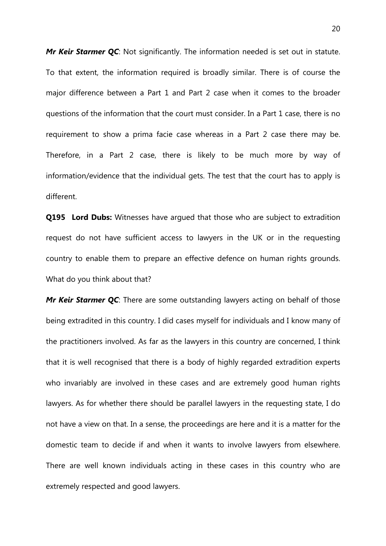*Mr Keir Starmer QC*: Not significantly. The information needed is set out in statute. To that extent, the information required is broadly similar. There is of course the major difference between a Part 1 and Part 2 case when it comes to the broader questions of the information that the court must consider. In a Part 1 case, there is no requirement to show a prima facie case whereas in a Part 2 case there may be. Therefore, in a Part 2 case, there is likely to be much more by way of information/evidence that the individual gets. The test that the court has to apply is different.

**Q195 Lord Dubs:** Witnesses have argued that those who are subject to extradition request do not have sufficient access to lawyers in the UK or in the requesting country to enable them to prepare an effective defence on human rights grounds. What do you think about that?

*Mr Keir Starmer QC*: There are some outstanding lawyers acting on behalf of those being extradited in this country. I did cases myself for individuals and I know many of the practitioners involved. As far as the lawyers in this country are concerned, I think that it is well recognised that there is a body of highly regarded extradition experts who invariably are involved in these cases and are extremely good human rights lawyers. As for whether there should be parallel lawyers in the requesting state, I do not have a view on that. In a sense, the proceedings are here and it is a matter for the domestic team to decide if and when it wants to involve lawyers from elsewhere. There are well known individuals acting in these cases in this country who are extremely respected and good lawyers.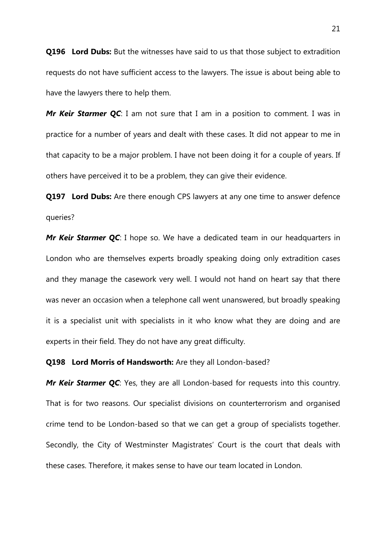**Q196 Lord Dubs:** But the witnesses have said to us that those subject to extradition requests do not have sufficient access to the lawyers. The issue is about being able to have the lawyers there to help them.

*Mr Keir Starmer QC*: I am not sure that I am in a position to comment. I was in practice for a number of years and dealt with these cases. It did not appear to me in that capacity to be a major problem. I have not been doing it for a couple of years. If others have perceived it to be a problem, they can give their evidence.

**Q197 Lord Dubs:** Are there enough CPS lawyers at any one time to answer defence queries?

*Mr Keir Starmer OC*: I hope so. We have a dedicated team in our headquarters in London who are themselves experts broadly speaking doing only extradition cases and they manage the casework very well. I would not hand on heart say that there was never an occasion when a telephone call went unanswered, but broadly speaking it is a specialist unit with specialists in it who know what they are doing and are experts in their field. They do not have any great difficulty.

#### **Q198 Lord Morris of Handsworth:** Are they all London-based?

*Mr Keir Starmer QC*: Yes, they are all London-based for requests into this country. That is for two reasons. Our specialist divisions on counterterrorism and organised crime tend to be London-based so that we can get a group of specialists together. Secondly, the City of Westminster Magistrates' Court is the court that deals with these cases. Therefore, it makes sense to have our team located in London.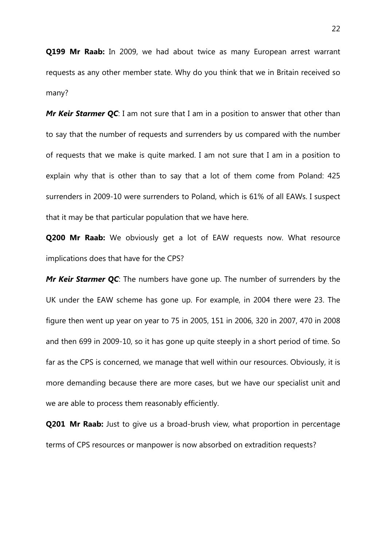**Q199 Mr Raab:** In 2009, we had about twice as many European arrest warrant requests as any other member state. Why do you think that we in Britain received so many?

*Mr Keir Starmer QC*: I am not sure that I am in a position to answer that other than to say that the number of requests and surrenders by us compared with the number of requests that we make is quite marked. I am not sure that I am in a position to explain why that is other than to say that a lot of them come from Poland: 425 surrenders in 2009-10 were surrenders to Poland, which is 61% of all EAWs. I suspect that it may be that particular population that we have here.

**Q200 Mr Raab:** We obviously get a lot of EAW requests now. What resource implications does that have for the CPS?

*Mr Keir Starmer QC*: The numbers have gone up. The number of surrenders by the UK under the EAW scheme has gone up. For example, in 2004 there were 23. The figure then went up year on year to 75 in 2005, 151 in 2006, 320 in 2007, 470 in 2008 and then 699 in 2009-10, so it has gone up quite steeply in a short period of time. So far as the CPS is concerned, we manage that well within our resources. Obviously, it is more demanding because there are more cases, but we have our specialist unit and we are able to process them reasonably efficiently.

**Q201 Mr Raab:** Just to give us a broad-brush view, what proportion in percentage terms of CPS resources or manpower is now absorbed on extradition requests?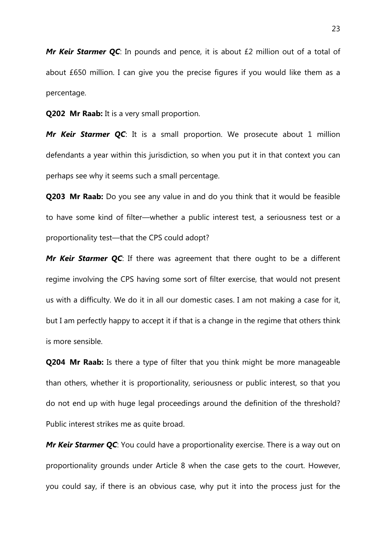**Mr Keir Starmer QC**: In pounds and pence, it is about £2 million out of a total of about £650 million. I can give you the precise figures if you would like them as a percentage.

**Q202 Mr Raab:** It is a very small proportion.

*Mr Keir Starmer QC*: It is a small proportion. We prosecute about 1 million defendants a year within this jurisdiction, so when you put it in that context you can perhaps see why it seems such a small percentage.

**Q203 Mr Raab:** Do you see any value in and do you think that it would be feasible to have some kind of filter—whether a public interest test, a seriousness test or a proportionality test—that the CPS could adopt?

*Mr Keir Starmer QC*: If there was agreement that there ought to be a different regime involving the CPS having some sort of filter exercise, that would not present us with a difficulty. We do it in all our domestic cases. I am not making a case for it, but I am perfectly happy to accept it if that is a change in the regime that others think is more sensible.

**Q204 Mr Raab:** Is there a type of filter that you think might be more manageable than others, whether it is proportionality, seriousness or public interest, so that you do not end up with huge legal proceedings around the definition of the threshold? Public interest strikes me as quite broad.

*Mr Keir Starmer QC***:** You could have a proportionality exercise. There is a way out on proportionality grounds under Article 8 when the case gets to the court. However, you could say, if there is an obvious case, why put it into the process just for the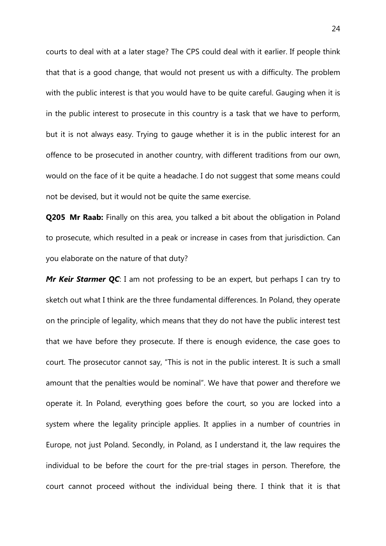courts to deal with at a later stage? The CPS could deal with it earlier. If people think that that is a good change, that would not present us with a difficulty. The problem with the public interest is that you would have to be quite careful. Gauging when it is in the public interest to prosecute in this country is a task that we have to perform, but it is not always easy. Trying to gauge whether it is in the public interest for an offence to be prosecuted in another country, with different traditions from our own, would on the face of it be quite a headache. I do not suggest that some means could not be devised, but it would not be quite the same exercise.

**Q205 Mr Raab:** Finally on this area, you talked a bit about the obligation in Poland to prosecute, which resulted in a peak or increase in cases from that jurisdiction. Can you elaborate on the nature of that duty?

*Mr Keir Starmer QC*: I am not professing to be an expert, but perhaps I can try to sketch out what I think are the three fundamental differences. In Poland, they operate on the principle of legality, which means that they do not have the public interest test that we have before they prosecute. If there is enough evidence, the case goes to court. The prosecutor cannot say, "This is not in the public interest. It is such a small amount that the penalties would be nominal". We have that power and therefore we operate it. In Poland, everything goes before the court, so you are locked into a system where the legality principle applies. It applies in a number of countries in Europe, not just Poland. Secondly, in Poland, as I understand it, the law requires the individual to be before the court for the pre-trial stages in person. Therefore, the court cannot proceed without the individual being there. I think that it is that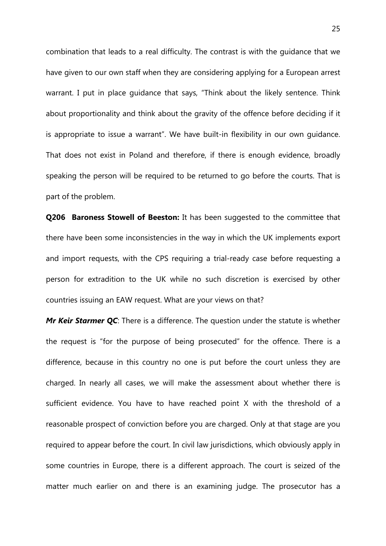combination that leads to a real difficulty. The contrast is with the guidance that we have given to our own staff when they are considering applying for a European arrest warrant. I put in place guidance that says, "Think about the likely sentence. Think about proportionality and think about the gravity of the offence before deciding if it is appropriate to issue a warrant". We have built-in flexibility in our own guidance. That does not exist in Poland and therefore, if there is enough evidence, broadly speaking the person will be required to be returned to go before the courts. That is part of the problem.

**Q206 Baroness Stowell of Beeston:** It has been suggested to the committee that there have been some inconsistencies in the way in which the UK implements export and import requests, with the CPS requiring a trial-ready case before requesting a person for extradition to the UK while no such discretion is exercised by other countries issuing an EAW request. What are your views on that?

*Mr Keir Starmer QC*: There is a difference. The question under the statute is whether the request is "for the purpose of being prosecuted" for the offence. There is a difference, because in this country no one is put before the court unless they are charged. In nearly all cases, we will make the assessment about whether there is sufficient evidence. You have to have reached point X with the threshold of a reasonable prospect of conviction before you are charged. Only at that stage are you required to appear before the court. In civil law jurisdictions, which obviously apply in some countries in Europe, there is a different approach. The court is seized of the matter much earlier on and there is an examining judge. The prosecutor has a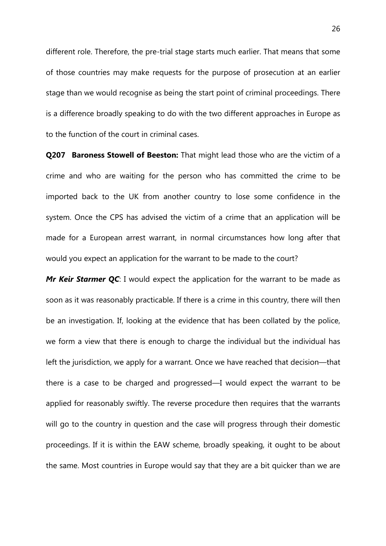different role. Therefore, the pre-trial stage starts much earlier. That means that some of those countries may make requests for the purpose of prosecution at an earlier stage than we would recognise as being the start point of criminal proceedings. There is a difference broadly speaking to do with the two different approaches in Europe as to the function of the court in criminal cases.

**Q207 Baroness Stowell of Beeston:** That might lead those who are the victim of a crime and who are waiting for the person who has committed the crime to be imported back to the UK from another country to lose some confidence in the system. Once the CPS has advised the victim of a crime that an application will be made for a European arrest warrant, in normal circumstances how long after that would you expect an application for the warrant to be made to the court?

*Mr Keir Starmer QC*: I would expect the application for the warrant to be made as soon as it was reasonably practicable. If there is a crime in this country, there will then be an investigation. If, looking at the evidence that has been collated by the police, we form a view that there is enough to charge the individual but the individual has left the jurisdiction, we apply for a warrant. Once we have reached that decision—that there is a case to be charged and progressed—I would expect the warrant to be applied for reasonably swiftly. The reverse procedure then requires that the warrants will go to the country in question and the case will progress through their domestic proceedings. If it is within the EAW scheme, broadly speaking, it ought to be about the same. Most countries in Europe would say that they are a bit quicker than we are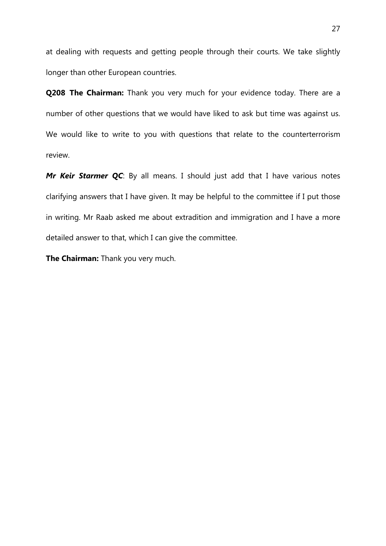at dealing with requests and getting people through their courts. We take slightly longer than other European countries.

**Q208 The Chairman:** Thank you very much for your evidence today. There are a number of other questions that we would have liked to ask but time was against us. We would like to write to you with questions that relate to the counterterrorism review.

*Mr Keir Starmer QC*: By all means. I should just add that I have various notes clarifying answers that I have given. It may be helpful to the committee if I put those in writing. Mr Raab asked me about extradition and immigration and I have a more detailed answer to that, which I can give the committee.

**The Chairman:** Thank you very much.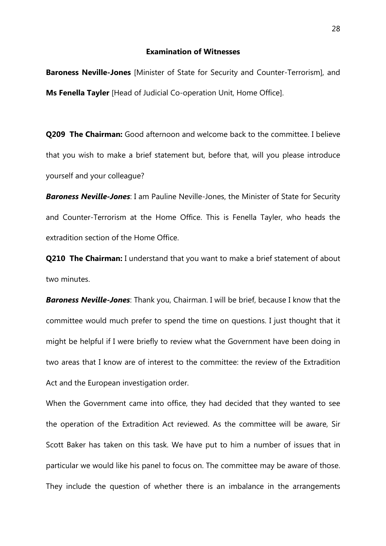#### **Examination of Witnesses**

**Baroness Neville-Jones** [Minister of State for Security and Counter-Terrorism], and **Ms Fenella Tayler** [Head of Judicial Co-operation Unit, Home Office].

**Q209 The Chairman:** Good afternoon and welcome back to the committee. I believe that you wish to make a brief statement but, before that, will you please introduce yourself and your colleague?

*Baroness Neville-Jones*: I am Pauline Neville-Jones, the Minister of State for Security and Counter-Terrorism at the Home Office. This is Fenella Tayler, who heads the extradition section of the Home Office.

**Q210 The Chairman:** I understand that you want to make a brief statement of about two minutes.

*Baroness Neville-Jones*: Thank you, Chairman. I will be brief, because I know that the committee would much prefer to spend the time on questions. I just thought that it might be helpful if I were briefly to review what the Government have been doing in two areas that I know are of interest to the committee: the review of the Extradition Act and the European investigation order.

When the Government came into office, they had decided that they wanted to see the operation of the Extradition Act reviewed. As the committee will be aware, Sir Scott Baker has taken on this task. We have put to him a number of issues that in particular we would like his panel to focus on. The committee may be aware of those. They include the question of whether there is an imbalance in the arrangements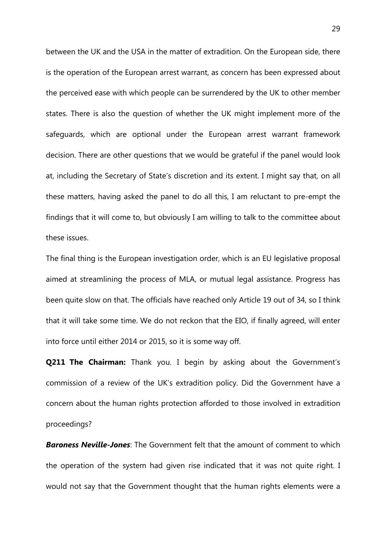between the UK and the USA in the matter of extradition. On the European side, there is the operation of the European arrest warrant, as concern has been expressed about the perceived ease with which people can be surrendered by the UK to other member states. There is also the question of whether the UK might implement more of the safeguards, which are optional under the European arrest warrant framework decision. There are other questions that we would be grateful if the panel would look at, including the Secretary of State's discretion and its extent. I might say that, on all these matters, having asked the panel to do all this, I am reluctant to pre-empt the findings that it will come to, but obviously I am willing to talk to the committee about these issues.

The final thing is the European investigation order, which is an EU legislative proposal aimed at streamlining the process of MLA, or mutual legal assistance. Progress has been quite slow on that. The officials have reached only Article 19 out of 34, so I think that it will take some time. We do not reckon that the EIO, if finally agreed, will enter into force until either 2014 or 2015, so it is some way off.

**Q211 The Chairman:** Thank you. I begin by asking about the Government's commission of a review of the UK's extradition policy. Did the Government have a concern about the human rights protection afforded to those involved in extradition proceedings?

*Baroness Neville-Jones*: The Government felt that the amount of comment to which the operation of the system had given rise indicated that it was not quite right. I would not say that the Government thought that the human rights elements were a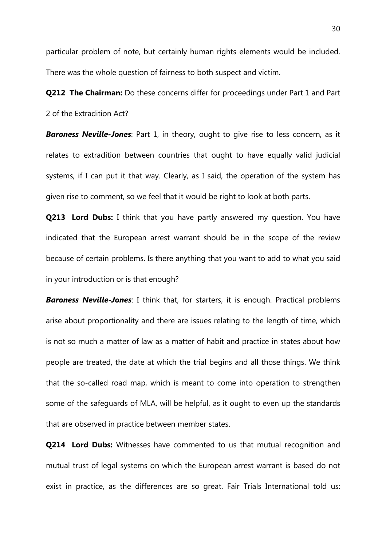particular problem of note, but certainly human rights elements would be included. There was the whole question of fairness to both suspect and victim.

**Q212 The Chairman:** Do these concerns differ for proceedings under Part 1 and Part 2 of the Extradition Act?

**Baroness Neville-Jones**: Part 1, in theory, ought to give rise to less concern, as it relates to extradition between countries that ought to have equally valid judicial systems, if I can put it that way. Clearly, as I said, the operation of the system has given rise to comment, so we feel that it would be right to look at both parts.

**Q213 Lord Dubs:** I think that you have partly answered my question. You have indicated that the European arrest warrant should be in the scope of the review because of certain problems. Is there anything that you want to add to what you said in your introduction or is that enough?

*Baroness Neville-Jones*: I think that, for starters, it is enough. Practical problems arise about proportionality and there are issues relating to the length of time, which is not so much a matter of law as a matter of habit and practice in states about how people are treated, the date at which the trial begins and all those things. We think that the so-called road map, which is meant to come into operation to strengthen some of the safeguards of MLA, will be helpful, as it ought to even up the standards that are observed in practice between member states.

**Q214 Lord Dubs:** Witnesses have commented to us that mutual recognition and mutual trust of legal systems on which the European arrest warrant is based do not exist in practice, as the differences are so great. Fair Trials International told us: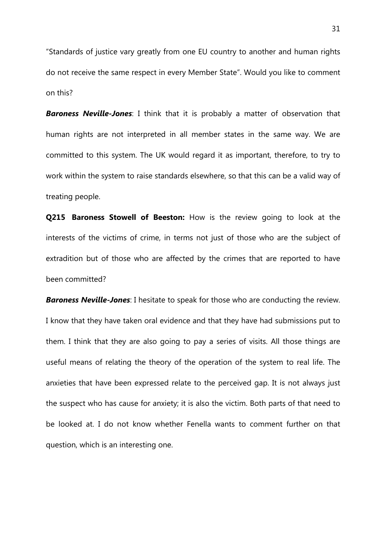"Standards of justice vary greatly from one EU country to another and human rights do not receive the same respect in every Member State". Would you like to comment on this?

*Baroness Neville-Jones*: I think that it is probably a matter of observation that human rights are not interpreted in all member states in the same way. We are committed to this system. The UK would regard it as important, therefore, to try to work within the system to raise standards elsewhere, so that this can be a valid way of treating people.

**Q215 Baroness Stowell of Beeston:** How is the review going to look at the interests of the victims of crime, in terms not just of those who are the subject of extradition but of those who are affected by the crimes that are reported to have been committed?

*Baroness Neville-Jones*: I hesitate to speak for those who are conducting the review. I know that they have taken oral evidence and that they have had submissions put to them. I think that they are also going to pay a series of visits. All those things are useful means of relating the theory of the operation of the system to real life. The anxieties that have been expressed relate to the perceived gap. It is not always just the suspect who has cause for anxiety; it is also the victim. Both parts of that need to be looked at. I do not know whether Fenella wants to comment further on that question, which is an interesting one.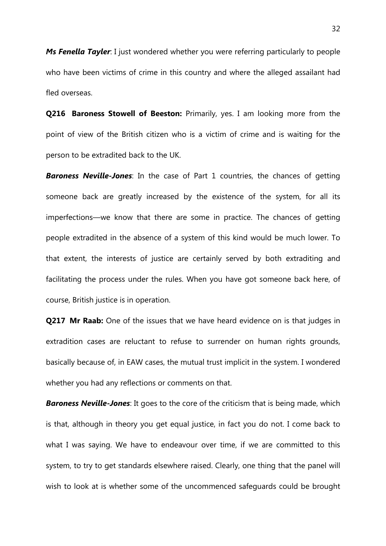*Ms Fenella Tayler*: I just wondered whether you were referring particularly to people who have been victims of crime in this country and where the alleged assailant had fled overseas.

**Q216 Baroness Stowell of Beeston:** Primarily, yes. I am looking more from the point of view of the British citizen who is a victim of crime and is waiting for the person to be extradited back to the UK.

*Baroness Neville-Jones*: In the case of Part 1 countries, the chances of getting someone back are greatly increased by the existence of the system, for all its imperfections—we know that there are some in practice. The chances of getting people extradited in the absence of a system of this kind would be much lower. To that extent, the interests of justice are certainly served by both extraditing and facilitating the process under the rules. When you have got someone back here, of course, British justice is in operation.

**Q217 Mr Raab:** One of the issues that we have heard evidence on is that judges in extradition cases are reluctant to refuse to surrender on human rights grounds, basically because of, in EAW cases, the mutual trust implicit in the system. I wondered whether you had any reflections or comments on that.

*Baroness Neville-Jones*: It goes to the core of the criticism that is being made, which is that, although in theory you get equal justice, in fact you do not. I come back to what I was saying. We have to endeavour over time, if we are committed to this system, to try to get standards elsewhere raised. Clearly, one thing that the panel will wish to look at is whether some of the uncommenced safeguards could be brought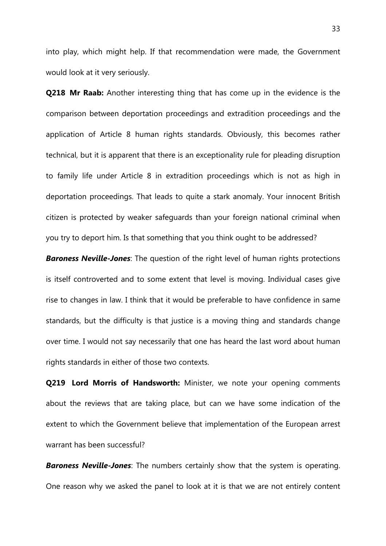into play, which might help. If that recommendation were made, the Government would look at it very seriously.

**Q218 Mr Raab:** Another interesting thing that has come up in the evidence is the comparison between deportation proceedings and extradition proceedings and the application of Article 8 human rights standards. Obviously, this becomes rather technical, but it is apparent that there is an exceptionality rule for pleading disruption to family life under Article 8 in extradition proceedings which is not as high in deportation proceedings. That leads to quite a stark anomaly. Your innocent British citizen is protected by weaker safeguards than your foreign national criminal when you try to deport him. Is that something that you think ought to be addressed?

*Baroness Neville-Jones*: The question of the right level of human rights protections is itself controverted and to some extent that level is moving. Individual cases give rise to changes in law. I think that it would be preferable to have confidence in same standards, but the difficulty is that justice is a moving thing and standards change over time. I would not say necessarily that one has heard the last word about human rights standards in either of those two contexts.

**Q219 Lord Morris of Handsworth:** Minister, we note your opening comments about the reviews that are taking place, but can we have some indication of the extent to which the Government believe that implementation of the European arrest warrant has been successful?

*Baroness Neville-Jones*: The numbers certainly show that the system is operating. One reason why we asked the panel to look at it is that we are not entirely content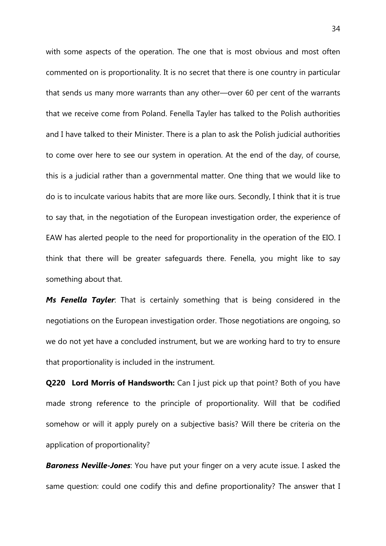with some aspects of the operation. The one that is most obvious and most often commented on is proportionality. It is no secret that there is one country in particular that sends us many more warrants than any other—over 60 per cent of the warrants that we receive come from Poland. Fenella Tayler has talked to the Polish authorities and I have talked to their Minister. There is a plan to ask the Polish judicial authorities to come over here to see our system in operation. At the end of the day, of course, this is a judicial rather than a governmental matter. One thing that we would like to do is to inculcate various habits that are more like ours. Secondly, I think that it is true to say that, in the negotiation of the European investigation order, the experience of EAW has alerted people to the need for proportionality in the operation of the EIO. I think that there will be greater safeguards there. Fenella, you might like to say something about that.

*Ms Fenella Tayler*: That is certainly something that is being considered in the negotiations on the European investigation order. Those negotiations are ongoing, so we do not yet have a concluded instrument, but we are working hard to try to ensure that proportionality is included in the instrument.

**Q220 Lord Morris of Handsworth:** Can I just pick up that point? Both of you have made strong reference to the principle of proportionality. Will that be codified somehow or will it apply purely on a subjective basis? Will there be criteria on the application of proportionality?

*Baroness Neville-Jones*: You have put your finger on a very acute issue. I asked the same question: could one codify this and define proportionality? The answer that I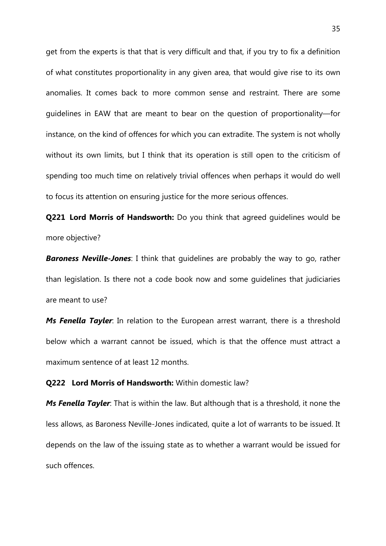get from the experts is that that is very difficult and that, if you try to fix a definition of what constitutes proportionality in any given area, that would give rise to its own anomalies. It comes back to more common sense and restraint. There are some guidelines in EAW that are meant to bear on the question of proportionality—for instance, on the kind of offences for which you can extradite. The system is not wholly without its own limits, but I think that its operation is still open to the criticism of spending too much time on relatively trivial offences when perhaps it would do well to focus its attention on ensuring justice for the more serious offences.

**Q221 Lord Morris of Handsworth:** Do you think that agreed guidelines would be more objective?

*Baroness Neville-Jones*: I think that guidelines are probably the way to go, rather than legislation. Is there not a code book now and some guidelines that judiciaries are meant to use?

*Ms Fenella Tayler*: In relation to the European arrest warrant, there is a threshold below which a warrant cannot be issued, which is that the offence must attract a maximum sentence of at least 12 months.

#### **Q222 Lord Morris of Handsworth:** Within domestic law?

*Ms Fenella Tayler*: That is within the law. But although that is a threshold, it none the less allows, as Baroness Neville-Jones indicated, quite a lot of warrants to be issued. It depends on the law of the issuing state as to whether a warrant would be issued for such offences.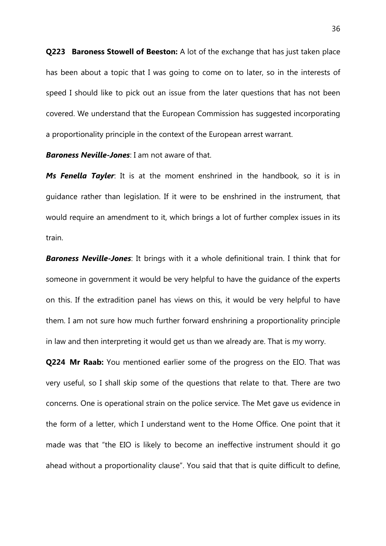**Q223 Baroness Stowell of Beeston:** A lot of the exchange that has just taken place has been about a topic that I was going to come on to later, so in the interests of speed I should like to pick out an issue from the later questions that has not been covered. We understand that the European Commission has suggested incorporating a proportionality principle in the context of the European arrest warrant.

*Baroness Neville-Jones*: I am not aware of that.

*Ms Fenella Tayler*: It is at the moment enshrined in the handbook, so it is in guidance rather than legislation. If it were to be enshrined in the instrument, that would require an amendment to it, which brings a lot of further complex issues in its train.

*Baroness Neville-Jones*: It brings with it a whole definitional train. I think that for someone in government it would be very helpful to have the guidance of the experts on this. If the extradition panel has views on this, it would be very helpful to have them. I am not sure how much further forward enshrining a proportionality principle in law and then interpreting it would get us than we already are. That is my worry.

**Q224 Mr Raab:** You mentioned earlier some of the progress on the EIO. That was very useful, so I shall skip some of the questions that relate to that. There are two concerns. One is operational strain on the police service. The Met gave us evidence in the form of a letter, which I understand went to the Home Office. One point that it made was that "the EIO is likely to become an ineffective instrument should it go ahead without a proportionality clause". You said that that is quite difficult to define,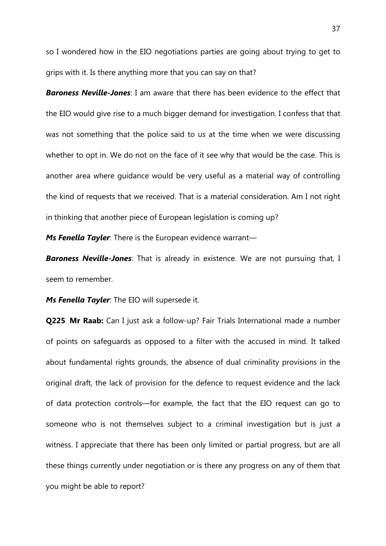so I wondered how in the EIO negotiations parties are going about trying to get to grips with it. Is there anything more that you can say on that?

*Baroness Neville-Jones*: I am aware that there has been evidence to the effect that the EIO would give rise to a much bigger demand for investigation. I confess that that was not something that the police said to us at the time when we were discussing whether to opt in. We do not on the face of it see why that would be the case. This is another area where guidance would be very useful as a material way of controlling the kind of requests that we received. That is a material consideration. Am I not right in thinking that another piece of European legislation is coming up?

*Ms Fenella Tayler*: There is the European evidence warrant—

*Baroness Neville-Jones*: That is already in existence. We are not pursuing that, I seem to remember.

*Ms Fenella Tayler*: The EIO will supersede it.

**Q225 Mr Raab:** Can I just ask a follow-up? Fair Trials International made a number of points on safeguards as opposed to a filter with the accused in mind. It talked about fundamental rights grounds, the absence of dual criminality provisions in the original draft, the lack of provision for the defence to request evidence and the lack of data protection controls—for example, the fact that the EIO request can go to someone who is not themselves subject to a criminal investigation but is just a witness. I appreciate that there has been only limited or partial progress, but are all these things currently under negotiation or is there any progress on any of them that you might be able to report?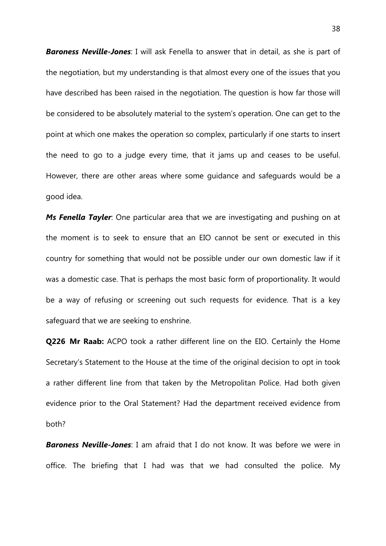*Baroness Neville-Jones*: I will ask Fenella to answer that in detail, as she is part of the negotiation, but my understanding is that almost every one of the issues that you have described has been raised in the negotiation. The question is how far those will be considered to be absolutely material to the system's operation. One can get to the point at which one makes the operation so complex, particularly if one starts to insert the need to go to a judge every time, that it jams up and ceases to be useful. However, there are other areas where some guidance and safeguards would be a good idea.

*Ms Fenella Tayler*: One particular area that we are investigating and pushing on at the moment is to seek to ensure that an EIO cannot be sent or executed in this country for something that would not be possible under our own domestic law if it was a domestic case. That is perhaps the most basic form of proportionality. It would be a way of refusing or screening out such requests for evidence. That is a key safeguard that we are seeking to enshrine.

**Q226 Mr Raab:** ACPO took a rather different line on the EIO. Certainly the Home Secretary's Statement to the House at the time of the original decision to opt in took a rather different line from that taken by the Metropolitan Police. Had both given evidence prior to the Oral Statement? Had the department received evidence from both?

*Baroness Neville-Jones*: I am afraid that I do not know. It was before we were in office. The briefing that I had was that we had consulted the police. My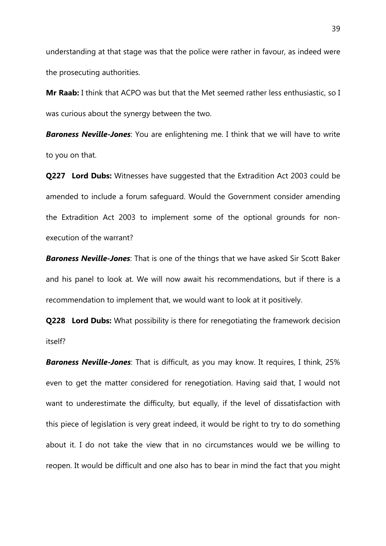understanding at that stage was that the police were rather in favour, as indeed were the prosecuting authorities.

**Mr Raab:** I think that ACPO was but that the Met seemed rather less enthusiastic, so I was curious about the synergy between the two.

*Baroness Neville-Jones*: You are enlightening me. I think that we will have to write to you on that.

**Q227 Lord Dubs:** Witnesses have suggested that the Extradition Act 2003 could be amended to include a forum safeguard. Would the Government consider amending the Extradition Act 2003 to implement some of the optional grounds for nonexecution of the warrant?

*Baroness Neville-Jones*: That is one of the things that we have asked Sir Scott Baker and his panel to look at. We will now await his recommendations, but if there is a recommendation to implement that, we would want to look at it positively.

**Q228 Lord Dubs:** What possibility is there for renegotiating the framework decision itself?

*Baroness Neville-Jones*: That is difficult, as you may know. It requires, I think, 25% even to get the matter considered for renegotiation. Having said that, I would not want to underestimate the difficulty, but equally, if the level of dissatisfaction with this piece of legislation is very great indeed, it would be right to try to do something about it. I do not take the view that in no circumstances would we be willing to reopen. It would be difficult and one also has to bear in mind the fact that you might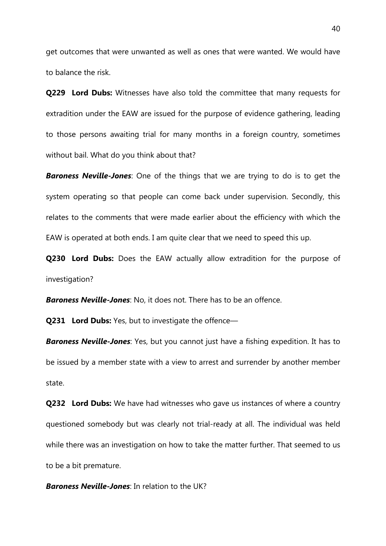get outcomes that were unwanted as well as ones that were wanted. We would have to balance the risk.

**Q229 Lord Dubs:** Witnesses have also told the committee that many requests for extradition under the EAW are issued for the purpose of evidence gathering, leading to those persons awaiting trial for many months in a foreign country, sometimes without bail. What do you think about that?

*Baroness Neville-Jones*: One of the things that we are trying to do is to get the system operating so that people can come back under supervision. Secondly, this relates to the comments that were made earlier about the efficiency with which the EAW is operated at both ends. I am quite clear that we need to speed this up.

**Q230 Lord Dubs:** Does the EAW actually allow extradition for the purpose of investigation?

*Baroness Neville-Jones*: No, it does not. There has to be an offence.

**Q231 Lord Dubs:** Yes, but to investigate the offence—

*Baroness Neville-Jones*: Yes, but you cannot just have a fishing expedition. It has to be issued by a member state with a view to arrest and surrender by another member state.

**Q232 Lord Dubs:** We have had witnesses who gave us instances of where a country questioned somebody but was clearly not trial-ready at all. The individual was held while there was an investigation on how to take the matter further. That seemed to us to be a bit premature.

*Baroness Neville-Jones*: In relation to the UK?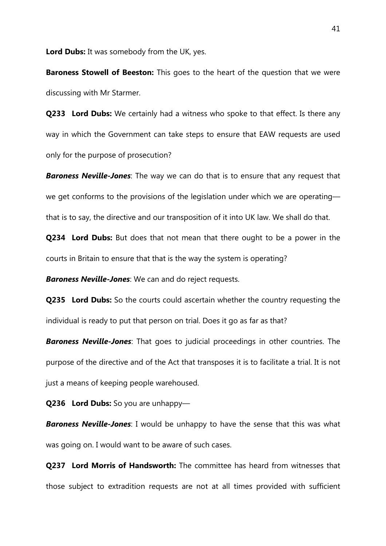**Lord Dubs:** It was somebody from the UK, yes.

**Baroness Stowell of Beeston:** This goes to the heart of the question that we were discussing with Mr Starmer.

**Q233 Lord Dubs:** We certainly had a witness who spoke to that effect. Is there any way in which the Government can take steps to ensure that EAW requests are used only for the purpose of prosecution?

*Baroness Neville-Jones*: The way we can do that is to ensure that any request that we get conforms to the provisions of the legislation under which we are operating that is to say, the directive and our transposition of it into UK law. We shall do that.

**Q234 Lord Dubs:** But does that not mean that there ought to be a power in the courts in Britain to ensure that that is the way the system is operating?

*Baroness Neville-Jones*: We can and do reject requests.

**Q235 Lord Dubs:** So the courts could ascertain whether the country requesting the individual is ready to put that person on trial. Does it go as far as that?

*Baroness Neville-Jones*: That goes to judicial proceedings in other countries. The purpose of the directive and of the Act that transposes it is to facilitate a trial. It is not just a means of keeping people warehoused.

**Q236 Lord Dubs:** So you are unhappy—

**Baroness Neville-Jones**: I would be unhappy to have the sense that this was what was going on. I would want to be aware of such cases.

**Q237 Lord Morris of Handsworth:** The committee has heard from witnesses that those subject to extradition requests are not at all times provided with sufficient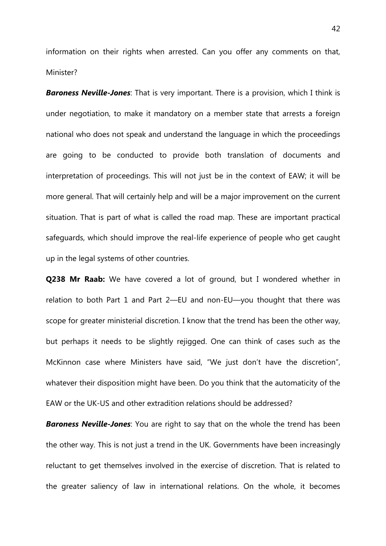information on their rights when arrested. Can you offer any comments on that, Minister?

*Baroness Neville-Jones*: That is very important. There is a provision, which I think is under negotiation, to make it mandatory on a member state that arrests a foreign national who does not speak and understand the language in which the proceedings are going to be conducted to provide both translation of documents and interpretation of proceedings. This will not just be in the context of EAW; it will be more general. That will certainly help and will be a major improvement on the current situation. That is part of what is called the road map. These are important practical safeguards, which should improve the real-life experience of people who get caught up in the legal systems of other countries.

**Q238 Mr Raab:** We have covered a lot of ground, but I wondered whether in relation to both Part 1 and Part 2—EU and non-EU—you thought that there was scope for greater ministerial discretion. I know that the trend has been the other way, but perhaps it needs to be slightly rejigged. One can think of cases such as the McKinnon case where Ministers have said, "We just don't have the discretion", whatever their disposition might have been. Do you think that the automaticity of the EAW or the UK-US and other extradition relations should be addressed?

*Baroness Neville-Jones*: You are right to say that on the whole the trend has been the other way. This is not just a trend in the UK. Governments have been increasingly reluctant to get themselves involved in the exercise of discretion. That is related to the greater saliency of law in international relations. On the whole, it becomes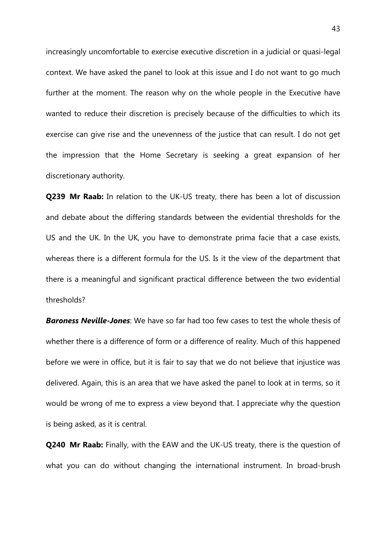increasingly uncomfortable to exercise executive discretion in a judicial or quasi-legal context. We have asked the panel to look at this issue and I do not want to go much further at the moment. The reason why on the whole people in the Executive have wanted to reduce their discretion is precisely because of the difficulties to which its exercise can give rise and the unevenness of the justice that can result. I do not get the impression that the Home Secretary is seeking a great expansion of her discretionary authority.

**Q239 Mr Raab:** In relation to the UK-US treaty, there has been a lot of discussion and debate about the differing standards between the evidential thresholds for the US and the UK. In the UK, you have to demonstrate prima facie that a case exists, whereas there is a different formula for the US. Is it the view of the department that there is a meaningful and significant practical difference between the two evidential thresholds?

*Baroness Neville-Jones*: We have so far had too few cases to test the whole thesis of whether there is a difference of form or a difference of reality. Much of this happened before we were in office, but it is fair to say that we do not believe that injustice was delivered. Again, this is an area that we have asked the panel to look at in terms, so it would be wrong of me to express a view beyond that. I appreciate why the question is being asked, as it is central.

**Q240 Mr Raab:** Finally, with the EAW and the UK-US treaty, there is the question of what you can do without changing the international instrument. In broad-brush